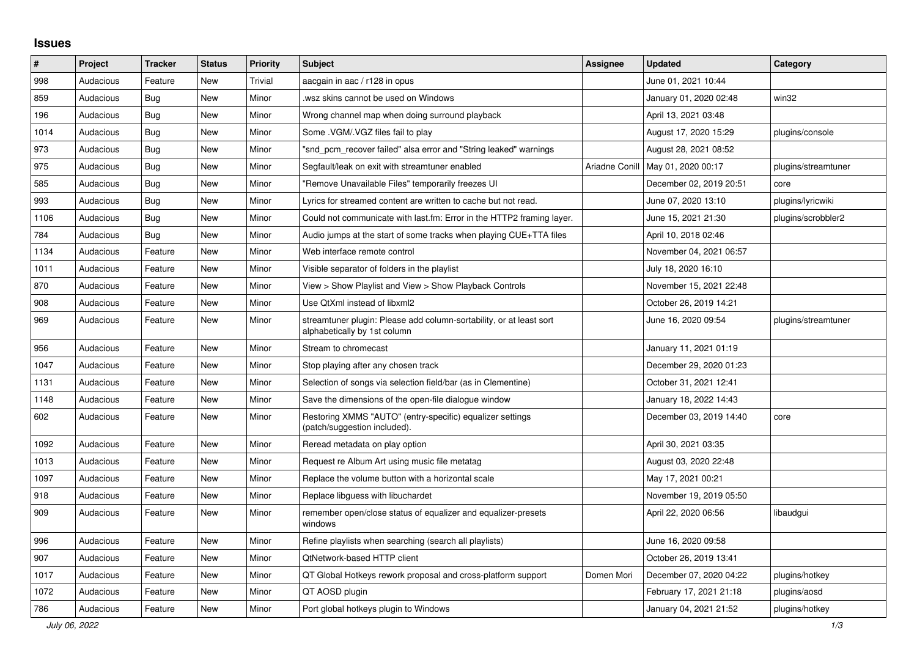## **Issues**

| $\vert$ # | Project   | <b>Tracker</b> | <b>Status</b> | <b>Priority</b> | <b>Subject</b>                                                                                      | <b>Assignee</b> | <b>Updated</b>          | Category            |
|-----------|-----------|----------------|---------------|-----------------|-----------------------------------------------------------------------------------------------------|-----------------|-------------------------|---------------------|
| 998       | Audacious | Feature        | <b>New</b>    | Trivial         | aacgain in aac / r128 in opus                                                                       |                 | June 01, 2021 10:44     |                     |
| 859       | Audacious | <b>Bug</b>     | <b>New</b>    | Minor           | wsz skins cannot be used on Windows                                                                 |                 | January 01, 2020 02:48  | win32               |
| 196       | Audacious | <b>Bug</b>     | <b>New</b>    | Minor           | Wrong channel map when doing surround playback                                                      |                 | April 13, 2021 03:48    |                     |
| 1014      | Audacious | Bug            | <b>New</b>    | Minor           | Some .VGM/.VGZ files fail to play                                                                   |                 | August 17, 2020 15:29   | plugins/console     |
| 973       | Audacious | <b>Bug</b>     | <b>New</b>    | Minor           | "snd pcm recover failed" alsa error and "String leaked" warnings                                    |                 | August 28, 2021 08:52   |                     |
| 975       | Audacious | Bug            | New           | Minor           | Segfault/leak on exit with streamtuner enabled                                                      | Ariadne Conill  | May 01, 2020 00:17      | plugins/streamtuner |
| 585       | Audacious | Bug            | <b>New</b>    | Minor           | "Remove Unavailable Files" temporarily freezes UI                                                   |                 | December 02, 2019 20:51 | core                |
| 993       | Audacious | <b>Bug</b>     | <b>New</b>    | Minor           | Lyrics for streamed content are written to cache but not read.                                      |                 | June 07, 2020 13:10     | plugins/lyricwiki   |
| 1106      | Audacious | Bug            | New           | Minor           | Could not communicate with last.fm: Error in the HTTP2 framing layer.                               |                 | June 15, 2021 21:30     | plugins/scrobbler2  |
| 784       | Audacious | <b>Bug</b>     | <b>New</b>    | Minor           | Audio jumps at the start of some tracks when playing CUE+TTA files                                  |                 | April 10, 2018 02:46    |                     |
| 1134      | Audacious | Feature        | <b>New</b>    | Minor           | Web interface remote control                                                                        |                 | November 04, 2021 06:57 |                     |
| 1011      | Audacious | Feature        | <b>New</b>    | Minor           | Visible separator of folders in the playlist                                                        |                 | July 18, 2020 16:10     |                     |
| 870       | Audacious | Feature        | <b>New</b>    | Minor           | View > Show Playlist and View > Show Playback Controls                                              |                 | November 15, 2021 22:48 |                     |
| 908       | Audacious | Feature        | New           | Minor           | Use QtXml instead of libxml2                                                                        |                 | October 26, 2019 14:21  |                     |
| 969       | Audacious | Feature        | <b>New</b>    | Minor           | streamtuner plugin: Please add column-sortability, or at least sort<br>alphabetically by 1st column |                 | June 16, 2020 09:54     | plugins/streamtuner |
| 956       | Audacious | Feature        | New           | Minor           | Stream to chromecast                                                                                |                 | January 11, 2021 01:19  |                     |
| 1047      | Audacious | Feature        | <b>New</b>    | Minor           | Stop playing after any chosen track                                                                 |                 | December 29, 2020 01:23 |                     |
| 1131      | Audacious | Feature        | New           | Minor           | Selection of songs via selection field/bar (as in Clementine)                                       |                 | October 31, 2021 12:41  |                     |
| 1148      | Audacious | Feature        | <b>New</b>    | Minor           | Save the dimensions of the open-file dialogue window                                                |                 | January 18, 2022 14:43  |                     |
| 602       | Audacious | Feature        | <b>New</b>    | Minor           | Restoring XMMS "AUTO" (entry-specific) equalizer settings<br>(patch/suggestion included).           |                 | December 03, 2019 14:40 | core                |
| 1092      | Audacious | Feature        | <b>New</b>    | Minor           | Reread metadata on play option                                                                      |                 | April 30, 2021 03:35    |                     |
| 1013      | Audacious | Feature        | <b>New</b>    | Minor           | Request re Album Art using music file metatag                                                       |                 | August 03, 2020 22:48   |                     |
| 1097      | Audacious | Feature        | <b>New</b>    | Minor           | Replace the volume button with a horizontal scale                                                   |                 | May 17, 2021 00:21      |                     |
| 918       | Audacious | Feature        | <b>New</b>    | Minor           | Replace libguess with libuchardet                                                                   |                 | November 19, 2019 05:50 |                     |
| 909       | Audacious | Feature        | New           | Minor           | remember open/close status of equalizer and equalizer-presets<br>windows                            |                 | April 22, 2020 06:56    | libaudgui           |
| 996       | Audacious | Feature        | <b>New</b>    | Minor           | Refine playlists when searching (search all playlists)                                              |                 | June 16, 2020 09:58     |                     |
| 907       | Audacious | Feature        | New           | Minor           | <b>QtNetwork-based HTTP client</b>                                                                  |                 | October 26, 2019 13:41  |                     |
| 1017      | Audacious | Feature        | New           | Minor           | QT Global Hotkeys rework proposal and cross-platform support                                        | Domen Mori      | December 07, 2020 04:22 | plugins/hotkey      |
| 1072      | Audacious | Feature        | <b>New</b>    | Minor           | QT AOSD plugin                                                                                      |                 | February 17, 2021 21:18 | plugins/aosd        |
| 786       | Audacious | Feature        | <b>New</b>    | Minor           | Port global hotkeys plugin to Windows                                                               |                 | January 04, 2021 21:52  | plugins/hotkey      |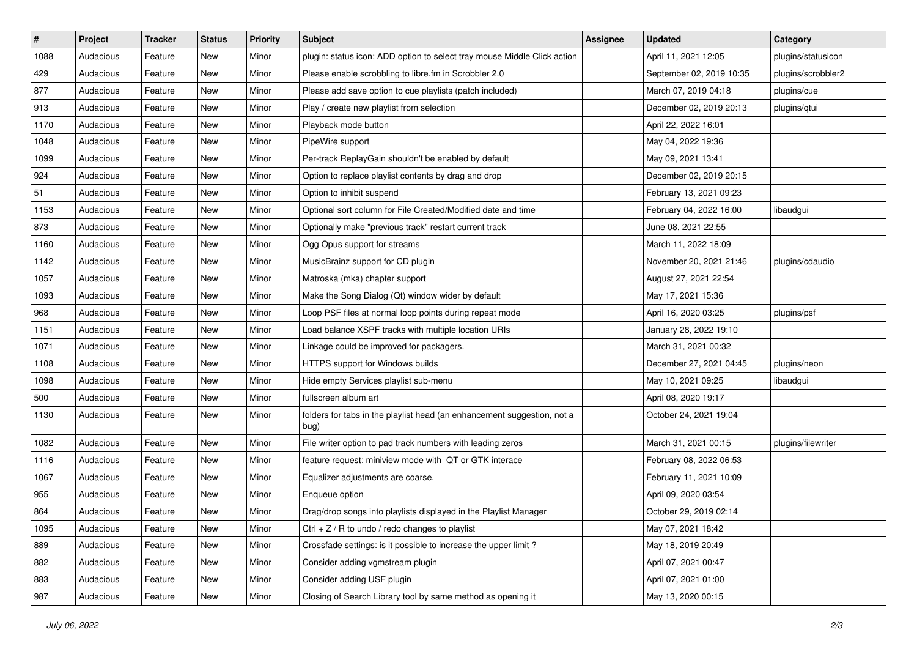| $\vert$ # | Project   | <b>Tracker</b> | <b>Status</b> | <b>Priority</b> | <b>Subject</b>                                                                  | <b>Assignee</b> | <b>Updated</b>           | Category           |
|-----------|-----------|----------------|---------------|-----------------|---------------------------------------------------------------------------------|-----------------|--------------------------|--------------------|
| 1088      | Audacious | Feature        | New           | Minor           | plugin: status icon: ADD option to select tray mouse Middle Click action        |                 | April 11, 2021 12:05     | plugins/statusicon |
| 429       | Audacious | Feature        | <b>New</b>    | Minor           | Please enable scrobbling to libre.fm in Scrobbler 2.0                           |                 | September 02, 2019 10:35 | plugins/scrobbler2 |
| 877       | Audacious | Feature        | New           | Minor           | Please add save option to cue playlists (patch included)                        |                 | March 07, 2019 04:18     | plugins/cue        |
| 913       | Audacious | Feature        | New           | Minor           | Play / create new playlist from selection                                       |                 | December 02, 2019 20:13  | plugins/qtui       |
| 1170      | Audacious | Feature        | <b>New</b>    | Minor           | Playback mode button                                                            |                 | April 22, 2022 16:01     |                    |
| 1048      | Audacious | Feature        | New           | Minor           | PipeWire support                                                                |                 | May 04, 2022 19:36       |                    |
| 1099      | Audacious | Feature        | New           | Minor           | Per-track ReplayGain shouldn't be enabled by default                            |                 | May 09, 2021 13:41       |                    |
| 924       | Audacious | Feature        | New           | Minor           | Option to replace playlist contents by drag and drop                            |                 | December 02, 2019 20:15  |                    |
| 51        | Audacious | Feature        | New           | Minor           | Option to inhibit suspend                                                       |                 | February 13, 2021 09:23  |                    |
| 1153      | Audacious | Feature        | New           | Minor           | Optional sort column for File Created/Modified date and time                    |                 | February 04, 2022 16:00  | libaudgui          |
| 873       | Audacious | Feature        | New           | Minor           | Optionally make "previous track" restart current track                          |                 | June 08, 2021 22:55      |                    |
| 1160      | Audacious | Feature        | New           | Minor           | Ogg Opus support for streams                                                    |                 | March 11, 2022 18:09     |                    |
| 1142      | Audacious | Feature        | New           | Minor           | MusicBrainz support for CD plugin                                               |                 | November 20, 2021 21:46  | plugins/cdaudio    |
| 1057      | Audacious | Feature        | New           | Minor           | Matroska (mka) chapter support                                                  |                 | August 27, 2021 22:54    |                    |
| 1093      | Audacious | Feature        | <b>New</b>    | Minor           | Make the Song Dialog (Qt) window wider by default                               |                 | May 17, 2021 15:36       |                    |
| 968       | Audacious | Feature        | New           | Minor           | Loop PSF files at normal loop points during repeat mode                         |                 | April 16, 2020 03:25     | plugins/psf        |
| 1151      | Audacious | Feature        | New           | Minor           | Load balance XSPF tracks with multiple location URIs                            |                 | January 28, 2022 19:10   |                    |
| 1071      | Audacious | Feature        | New           | Minor           | Linkage could be improved for packagers.                                        |                 | March 31, 2021 00:32     |                    |
| 1108      | Audacious | Feature        | New           | Minor           | HTTPS support for Windows builds                                                |                 | December 27, 2021 04:45  | plugins/neon       |
| 1098      | Audacious | Feature        | New           | Minor           | Hide empty Services playlist sub-menu                                           |                 | May 10, 2021 09:25       | libaudgui          |
| 500       | Audacious | Feature        | New           | Minor           | fullscreen album art                                                            |                 | April 08, 2020 19:17     |                    |
| 1130      | Audacious | Feature        | New           | Minor           | folders for tabs in the playlist head (an enhancement suggestion, not a<br>bug) |                 | October 24, 2021 19:04   |                    |
| 1082      | Audacious | Feature        | New           | Minor           | File writer option to pad track numbers with leading zeros                      |                 | March 31, 2021 00:15     | plugins/filewriter |
| 1116      | Audacious | Feature        | New           | Minor           | feature request: miniview mode with QT or GTK interace                          |                 | February 08, 2022 06:53  |                    |
| 1067      | Audacious | Feature        | New           | Minor           | Equalizer adjustments are coarse.                                               |                 | February 11, 2021 10:09  |                    |
| 955       | Audacious | Feature        | New           | Minor           | Enqueue option                                                                  |                 | April 09, 2020 03:54     |                    |
| 864       | Audacious | Feature        | New           | Minor           | Drag/drop songs into playlists displayed in the Playlist Manager                |                 | October 29, 2019 02:14   |                    |
| 1095      | Audacious | Feature        | New           | Minor           | Ctrl + $Z$ / R to undo / redo changes to playlist                               |                 | May 07, 2021 18:42       |                    |
| 889       | Audacious | Feature        | New           | Minor           | Crossfade settings: is it possible to increase the upper limit?                 |                 | May 18, 2019 20:49       |                    |
| 882       | Audacious | Feature        | New           | Minor           | Consider adding vgmstream plugin                                                |                 | April 07, 2021 00:47     |                    |
| 883       | Audacious | Feature        | New           | Minor           | Consider adding USF plugin                                                      |                 | April 07, 2021 01:00     |                    |
| 987       | Audacious | Feature        | New           | Minor           | Closing of Search Library tool by same method as opening it                     |                 | May 13, 2020 00:15       |                    |